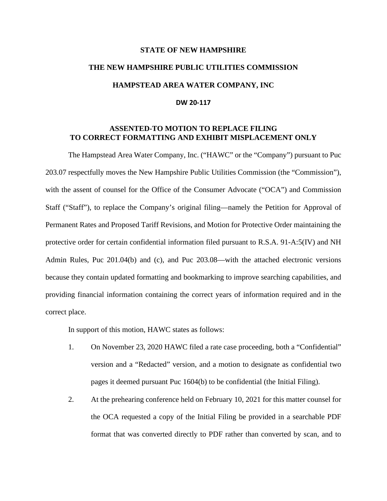## **STATE OF NEW HAMPSHIRE THE NEW HAMPSHIRE PUBLIC UTILITIES COMMISSION HAMPSTEAD AREA WATER COMPANY, INC**

## **DW 20-117**

## **ASSENTED-TO MOTION TO REPLACE FILING TO CORRECT FORMATTING AND EXHIBIT MISPLACEMENT ONLY**

The Hampstead Area Water Company, Inc. ("HAWC" or the "Company") pursuant to Puc 203.07 respectfully moves the New Hampshire Public Utilities Commission (the "Commission"), with the assent of counsel for the Office of the Consumer Advocate ("OCA") and Commission Staff ("Staff"), to replace the Company's original filing—namely the Petition for Approval of Permanent Rates and Proposed Tariff Revisions, and Motion for Protective Order maintaining the protective order for certain confidential information filed pursuant to R.S.A. 91-A:5(IV) and NH Admin Rules, Puc 201.04(b) and (c), and Puc 203.08—with the attached electronic versions because they contain updated formatting and bookmarking to improve searching capabilities, and providing financial information containing the correct years of information required and in the correct place.

In support of this motion, HAWC states as follows:

- 1. On November 23, 2020 HAWC filed a rate case proceeding, both a "Confidential" version and a "Redacted" version, and a motion to designate as confidential two pages it deemed pursuant Puc 1604(b) to be confidential (the Initial Filing).
- 2. At the prehearing conference held on February 10, 2021 for this matter counsel for the OCA requested a copy of the Initial Filing be provided in a searchable PDF format that was converted directly to PDF rather than converted by scan, and to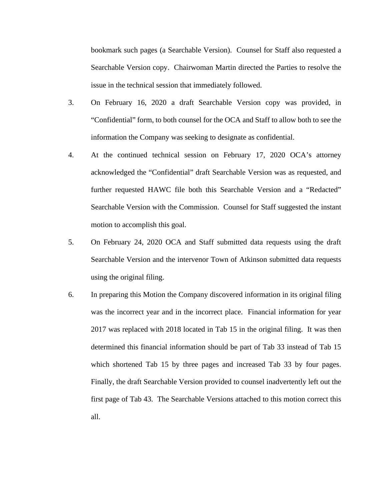bookmark such pages (a Searchable Version). Counsel for Staff also requested a Searchable Version copy. Chairwoman Martin directed the Parties to resolve the issue in the technical session that immediately followed.

- 3. On February 16, 2020 a draft Searchable Version copy was provided, in "Confidential" form, to both counsel for the OCA and Staff to allow both to see the information the Company was seeking to designate as confidential.
- 4. At the continued technical session on February 17, 2020 OCA's attorney acknowledged the "Confidential" draft Searchable Version was as requested, and further requested HAWC file both this Searchable Version and a "Redacted" Searchable Version with the Commission. Counsel for Staff suggested the instant motion to accomplish this goal.
- 5. On February 24, 2020 OCA and Staff submitted data requests using the draft Searchable Version and the intervenor Town of Atkinson submitted data requests using the original filing.
- 6. In preparing this Motion the Company discovered information in its original filing was the incorrect year and in the incorrect place. Financial information for year 2017 was replaced with 2018 located in Tab 15 in the original filing. It was then determined this financial information should be part of Tab 33 instead of Tab 15 which shortened Tab 15 by three pages and increased Tab 33 by four pages. Finally, the draft Searchable Version provided to counsel inadvertently left out the first page of Tab 43. The Searchable Versions attached to this motion correct this all.